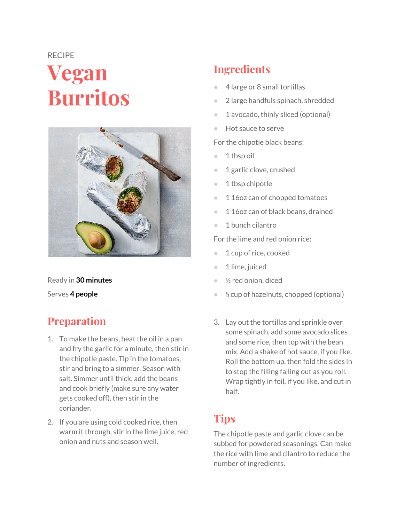# RECIPE **Vegan Burritos**



Ready in **30 minutes** Serves **4 people**

# **Preparation**

- 1. To make the beans, heat the oil in a pan and fry the garlic for a minute, then stir in the chipotle paste. Tip in the tomatoes, stir and bring to a simmer. Season with salt. Simmer until thick, add the beans and cook briefly (make sure any water gets cooked off), then stir in the coriander.
- 2. If you are using cold cooked rice, then warm it through, stir in the lime juice, red onion and nuts and season well.

# **Ingredients**

- 4 large or 8 small tortillas
- 2 large handfuls spinach, shredded
- 1 avocado, thinly sliced (optional)
- Hot sauce to serve

For the chipotle black beans:

- 1 tbsp oil
- 1 garlic clove, crushed
- 1 tbsp chipotle
- 1 16oz can of chopped tomatoes
- 116oz can of black beans, drained
- 1 bunch cilantro

For the lime and red onion rice:

- 1 cup of rice, cooked
- 1 lime, juiced
- $\frac{1}{2}$  red onion, diced
- ⅓ cup of hazelnuts, chopped (optional)
- 3. Lay out the tortillas and sprinkle over some spinach, add some avocado slices and some rice, then top with the bean mix. Add a shake of hot sauce, if you like. Roll the bottom up, then fold the sides in to stop the filling falling out as you roll. Wrap tightly in foil, if you like, and cut in half.

#### **Tips**

The chipotle paste and garlic clove can be subbed for powdered seasonings. Can make the rice with lime and cilantro to reduce the number of ingredients.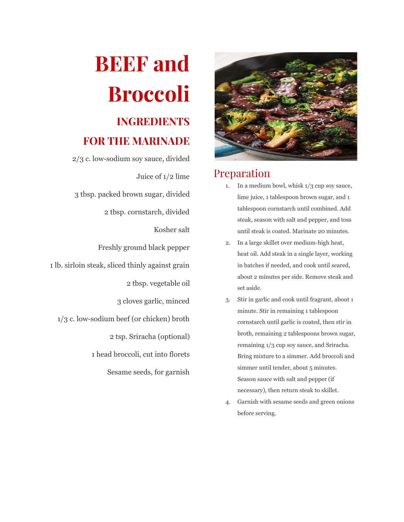

#### Preparation

- 1. In a medium bowl, whisk 1/3 cup soy sauce, lime juice, 1 tablespoon brown sugar, and 1 tablespoon cornstarch until combined. Add steak, season with salt and pepper, and toss until steak is coated. Marinate 20 minutes.
- 2. In a large skillet over medium-high heat, heat oil. Add steak in a single layer, working in batches if needed, and cook until seared, about 2 minutes per side. Remove steak and set aside.
- 3. Stir in garlic and cook until fragrant, about 1 minute. Stir in remaining 1 tablespoon cornstarch until garlic is coated, then stir in broth, remaining 2 tablespoons brown sugar, remaining 1/3 cup soy sauce, and Sriracha. Bring mixture to a simmer. Add broccoli and simmer until tender, about 5 minutes. Season sauce with salt and pepper (if necessary), then return steak to skillet.
- 4. Garnish with sesame seeds and green onions before serving.

# **BEEF and Broccoli**

# **INGREDIENTS FOR THE MARINADE**

2/3 c. low-sodium soy sauce, divided Juice of 1/2 lime 3 tbsp. packed brown sugar, divided 2 tbsp. cornstarch, divided Kosher salt Freshly ground black pepper 1 lb. sirloin steak, sliced thinly against grain 2 tbsp. vegetable oil 3 cloves garlic, minced 1/3 c. low-sodium beef (or chicken) broth 2 tsp. Sriracha (optional) 1 head broccoli, cut into florets Sesame seeds, for garnish